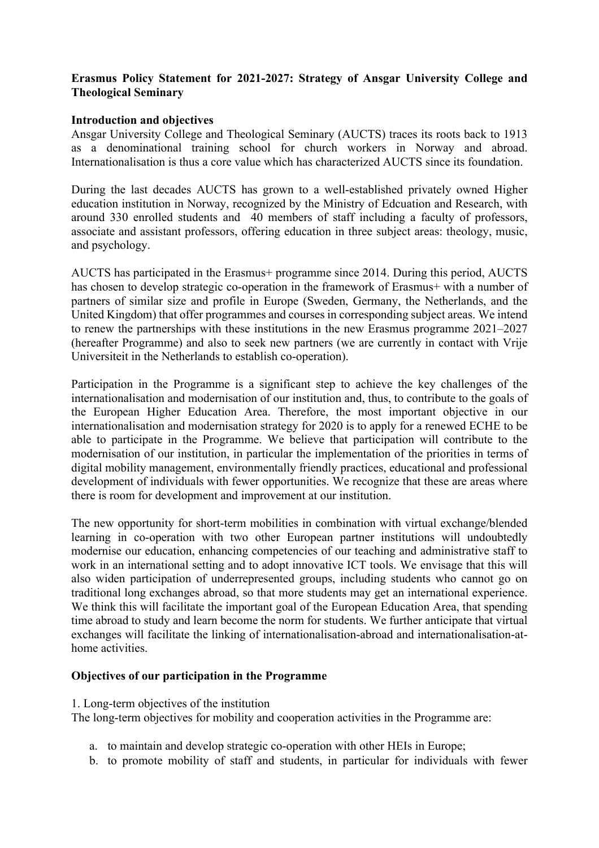# **Erasmus Policy Statement for 2021-2027: Strategy of Ansgar University College and Theological Seminary**

### **Introduction and objectives**

Ansgar University College and Theological Seminary (AUCTS) traces its roots back to 1913 as a denominational training school for church workers in Norway and abroad. Internationalisation is thus a core value which has characterized AUCTS since its foundation.

During the last decades AUCTS has grown to a well-established privately owned Higher education institution in Norway, recognized by the Ministry of Edcuation and Research, with around 330 enrolled students and 40 members of staff including a faculty of professors, associate and assistant professors, offering education in three subject areas: theology, music, and psychology.

AUCTS has participated in the Erasmus+ programme since 2014. During this period, AUCTS has chosen to develop strategic co-operation in the framework of Erasmus+ with a number of partners of similar size and profile in Europe (Sweden, Germany, the Netherlands, and the United Kingdom) that offer programmes and courses in corresponding subject areas. We intend to renew the partnerships with these institutions in the new Erasmus programme 2021–2027 (hereafter Programme) and also to seek new partners (we are currently in contact with Vrije Universiteit in the Netherlands to establish co-operation).

Participation in the Programme is a significant step to achieve the key challenges of the internationalisation and modernisation of our institution and, thus, to contribute to the goals of the European Higher Education Area. Therefore, the most important objective in our internationalisation and modernisation strategy for 2020 is to apply for a renewed ECHE to be able to participate in the Programme. We believe that participation will contribute to the modernisation of our institution, in particular the implementation of the priorities in terms of digital mobility management, environmentally friendly practices, educational and professional development of individuals with fewer opportunities. We recognize that these are areas where there is room for development and improvement at our institution.

The new opportunity for short-term mobilities in combination with virtual exchange/blended learning in co-operation with two other European partner institutions will undoubtedly modernise our education, enhancing competencies of our teaching and administrative staff to work in an international setting and to adopt innovative ICT tools. We envisage that this will also widen participation of underrepresented groups, including students who cannot go on traditional long exchanges abroad, so that more students may get an international experience. We think this will facilitate the important goal of the European Education Area, that spending time abroad to study and learn become the norm for students. We further anticipate that virtual exchanges will facilitate the linking of internationalisation-abroad and internationalisation-athome activities.

#### **Objectives of our participation in the Programme**

#### 1. Long-term objectives of the institution

The long-term objectives for mobility and cooperation activities in the Programme are:

- a. to maintain and develop strategic co-operation with other HEIs in Europe;
- b. to promote mobility of staff and students, in particular for individuals with fewer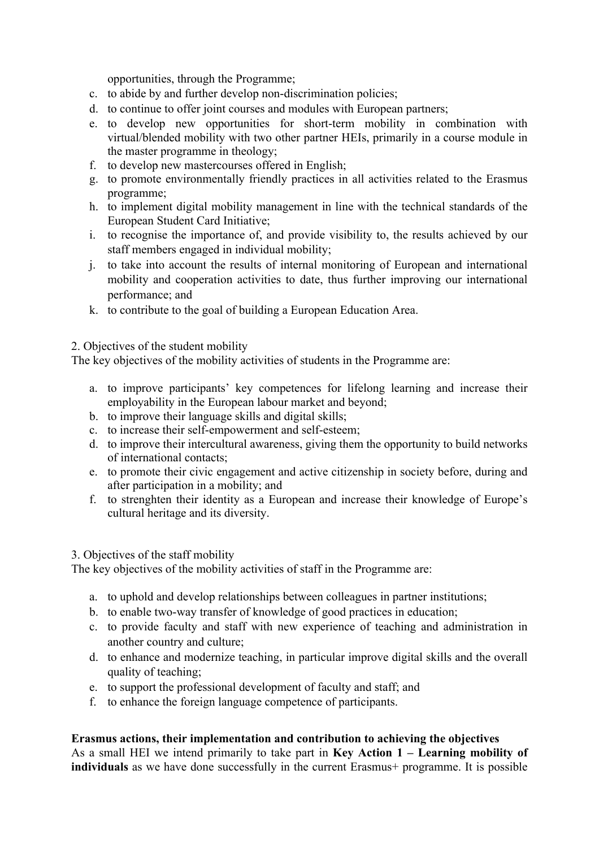opportunities, through the Programme;

- c. to abide by and further develop non-discrimination policies;
- d. to continue to offer joint courses and modules with European partners;
- e. to develop new opportunities for short-term mobility in combination with virtual/blended mobility with two other partner HEIs, primarily in a course module in the master programme in theology;
- f. to develop new mastercourses offered in English;
- g. to promote environmentally friendly practices in all activities related to the Erasmus programme;
- h. to implement digital mobility management in line with the technical standards of the European Student Card Initiative;
- i. to recognise the importance of, and provide visibility to, the results achieved by our staff members engaged in individual mobility;
- j. to take into account the results of internal monitoring of European and international mobility and cooperation activities to date, thus further improving our international performance; and
- k. to contribute to the goal of building a European Education Area.

2. Objectives of the student mobility

The key objectives of the mobility activities of students in the Programme are:

- a. to improve participants' key competences for lifelong learning and increase their employability in the European labour market and beyond;
- b. to improve their language skills and digital skills;
- c. to increase their self-empowerment and self-esteem;
- d. to improve their intercultural awareness, giving them the opportunity to build networks of international contacts;
- e. to promote their civic engagement and active citizenship in society before, during and after participation in a mobility; and
- f. to strenghten their identity as a European and increase their knowledge of Europe's cultural heritage and its diversity.

#### 3. Objectives of the staff mobility

The key objectives of the mobility activities of staff in the Programme are:

- a. to uphold and develop relationships between colleagues in partner institutions;
- b. to enable two-way transfer of knowledge of good practices in education;
- c. to provide faculty and staff with new experience of teaching and administration in another country and culture;
- d. to enhance and modernize teaching, in particular improve digital skills and the overall quality of teaching;
- e. to support the professional development of faculty and staff; and
- f. to enhance the foreign language competence of participants.

## **Erasmus actions, their implementation and contribution to achieving the objectives**

As a small HEI we intend primarily to take part in **Key Action 1 – Learning mobility of individuals** as we have done successfully in the current Erasmus+ programme. It is possible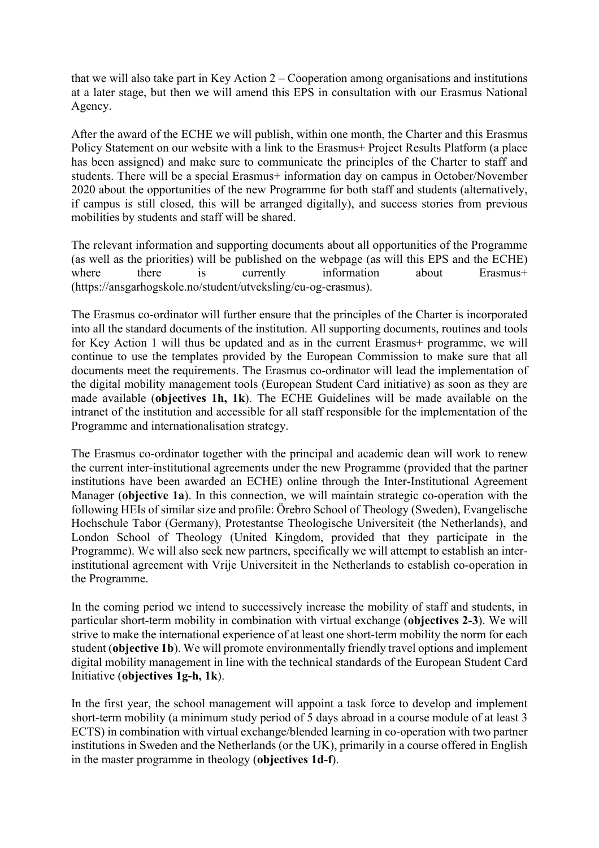that we will also take part in Key Action  $2 -$ Cooperation among organisations and institutions at a later stage, but then we will amend this EPS in consultation with our Erasmus National Agency.

After the award of the ECHE we will publish, within one month, the Charter and this Erasmus Policy Statement on our website with a link to the Erasmus+ Project Results Platform (a place has been assigned) and make sure to communicate the principles of the Charter to staff and students. There will be a special Erasmus+ information day on campus in October/November 2020 about the opportunities of the new Programme for both staff and students (alternatively, if campus is still closed, this will be arranged digitally), and success stories from previous mobilities by students and staff will be shared.

The relevant information and supporting documents about all opportunities of the Programme (as well as the priorities) will be published on the webpage (as will this EPS and the ECHE) where there is currently information about Erasmus+ (https://ansgarhogskole.no/student/utveksling/eu-og-erasmus).

The Erasmus co-ordinator will further ensure that the principles of the Charter is incorporated into all the standard documents of the institution. All supporting documents, routines and tools for Key Action 1 will thus be updated and as in the current Erasmus+ programme, we will continue to use the templates provided by the European Commission to make sure that all documents meet the requirements. The Erasmus co-ordinator will lead the implementation of the digital mobility management tools (European Student Card initiative) as soon as they are made available (**objectives 1h, 1k**). The ECHE Guidelines will be made available on the intranet of the institution and accessible for all staff responsible for the implementation of the Programme and internationalisation strategy.

The Erasmus co-ordinator together with the principal and academic dean will work to renew the current inter-institutional agreements under the new Programme (provided that the partner institutions have been awarded an ECHE) online through the Inter-Institutional Agreement Manager (**objective 1a**). In this connection, we will maintain strategic co-operation with the following HEIs of similar size and profile: Örebro School of Theology (Sweden), Evangelische Hochschule Tabor (Germany), Protestantse Theologische Universiteit (the Netherlands), and London School of Theology (United Kingdom, provided that they participate in the Programme). We will also seek new partners, specifically we will attempt to establish an interinstitutional agreement with Vrije Universiteit in the Netherlands to establish co-operation in the Programme.

In the coming period we intend to successively increase the mobility of staff and students, in particular short-term mobility in combination with virtual exchange (**objectives 2-3**). We will strive to make the international experience of at least one short-term mobility the norm for each student (**objective 1b**). We will promote environmentally friendly travel options and implement digital mobility management in line with the technical standards of the European Student Card Initiative (**objectives 1g-h, 1k**).

In the first year, the school management will appoint a task force to develop and implement short-term mobility (a minimum study period of 5 days abroad in a course module of at least 3 ECTS) in combination with virtual exchange/blended learning in co-operation with two partner institutions in Sweden and the Netherlands (or the UK), primarily in a course offered in English in the master programme in theology (**objectives 1d-f**).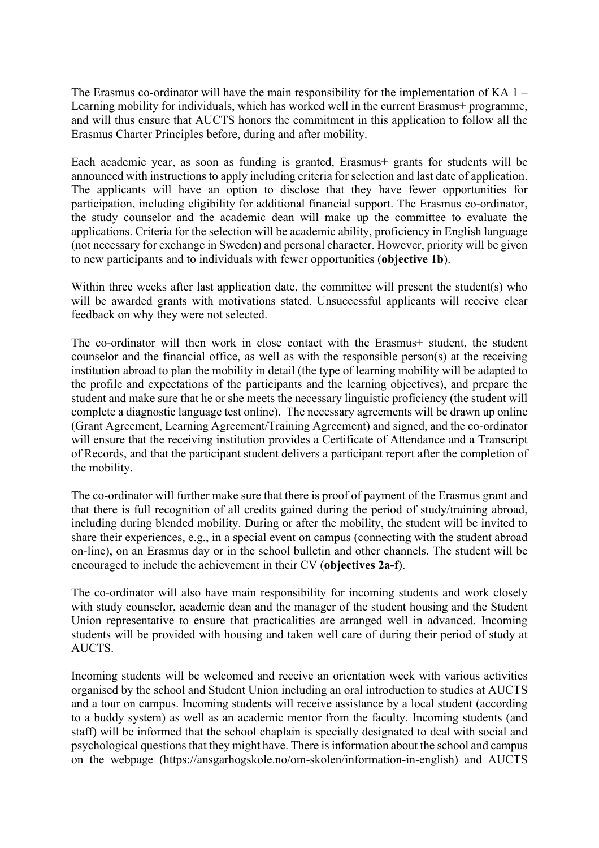The Erasmus co-ordinator will have the main responsibility for the implementation of KA  $1 -$ Learning mobility for individuals, which has worked well in the current Erasmus+ programme, and will thus ensure that AUCTS honors the commitment in this application to follow all the Erasmus Charter Principles before, during and after mobility.

Each academic year, as soon as funding is granted, Erasmus+ grants for students will be announced with instructions to apply including criteria for selection and last date of application. The applicants will have an option to disclose that they have fewer opportunities for participation, including eligibility for additional financial support. The Erasmus co-ordinator, the study counselor and the academic dean will make up the committee to evaluate the applications. Criteria for the selection will be academic ability, proficiency in English language (not necessary for exchange in Sweden) and personal character. However, priority will be given to new participants and to individuals with fewer opportunities (**objective 1b**).

Within three weeks after last application date, the committee will present the student(s) who will be awarded grants with motivations stated. Unsuccessful applicants will receive clear feedback on why they were not selected.

The co-ordinator will then work in close contact with the Erasmus+ student, the student counselor and the financial office, as well as with the responsible person(s) at the receiving institution abroad to plan the mobility in detail (the type of learning mobility will be adapted to the profile and expectations of the participants and the learning objectives), and prepare the student and make sure that he or she meets the necessary linguistic proficiency (the student will complete a diagnostic language test online). The necessary agreements will be drawn up online (Grant Agreement, Learning Agreement/Training Agreement) and signed, and the co-ordinator will ensure that the receiving institution provides a Certificate of Attendance and a Transcript of Records, and that the participant student delivers a participant report after the completion of the mobility.

The co-ordinator will further make sure that there is proof of payment of the Erasmus grant and that there is full recognition of all credits gained during the period of study/training abroad, including during blended mobility. During or after the mobility, the student will be invited to share their experiences, e.g., in a special event on campus (connecting with the student abroad on-line), on an Erasmus day or in the school bulletin and other channels. The student will be encouraged to include the achievement in their CV (**objectives 2a-f**).

The co-ordinator will also have main responsibility for incoming students and work closely with study counselor, academic dean and the manager of the student housing and the Student Union representative to ensure that practicalities are arranged well in advanced. Incoming students will be provided with housing and taken well care of during their period of study at AUCTS.

Incoming students will be welcomed and receive an orientation week with various activities organised by the school and Student Union including an oral introduction to studies at AUCTS and a tour on campus. Incoming students will receive assistance by a local student (according to a buddy system) as well as an academic mentor from the faculty. Incoming students (and staff) will be informed that the school chaplain is specially designated to deal with social and psychological questions that they might have. There is information about the school and campus on the webpage (https://ansgarhogskole.no/om-skolen/information-in-english) and AUCTS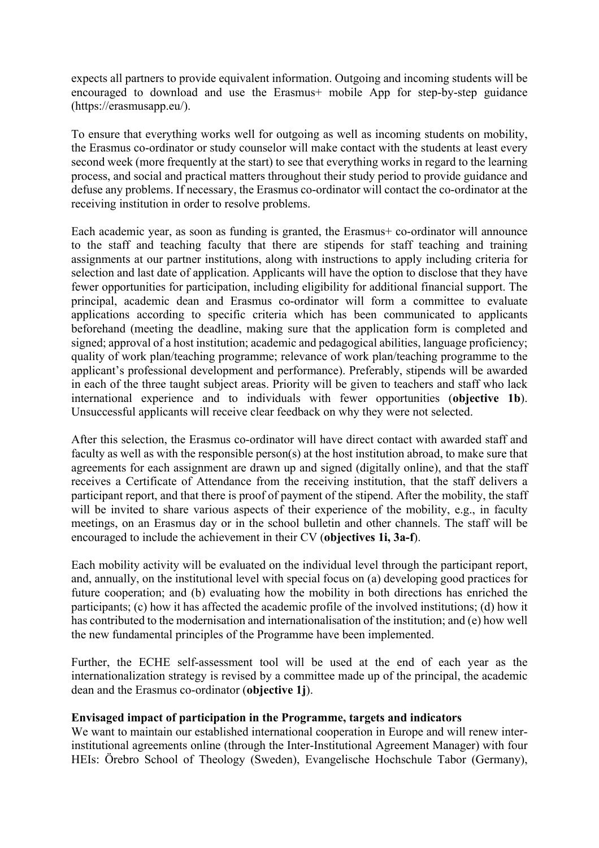expects all partners to provide equivalent information. Outgoing and incoming students will be encouraged to download and use the Erasmus+ mobile App for step-by-step guidance (https://erasmusapp.eu/).

To ensure that everything works well for outgoing as well as incoming students on mobility, the Erasmus co-ordinator or study counselor will make contact with the students at least every second week (more frequently at the start) to see that everything works in regard to the learning process, and social and practical matters throughout their study period to provide guidance and defuse any problems. If necessary, the Erasmus co-ordinator will contact the co-ordinator at the receiving institution in order to resolve problems.

Each academic year, as soon as funding is granted, the Erasmus+ co-ordinator will announce to the staff and teaching faculty that there are stipends for staff teaching and training assignments at our partner institutions, along with instructions to apply including criteria for selection and last date of application. Applicants will have the option to disclose that they have fewer opportunities for participation, including eligibility for additional financial support. The principal, academic dean and Erasmus co-ordinator will form a committee to evaluate applications according to specific criteria which has been communicated to applicants beforehand (meeting the deadline, making sure that the application form is completed and signed; approval of a host institution; academic and pedagogical abilities, language proficiency; quality of work plan/teaching programme; relevance of work plan/teaching programme to the applicant's professional development and performance). Preferably, stipends will be awarded in each of the three taught subject areas. Priority will be given to teachers and staff who lack international experience and to individuals with fewer opportunities (**objective 1b**). Unsuccessful applicants will receive clear feedback on why they were not selected.

After this selection, the Erasmus co-ordinator will have direct contact with awarded staff and faculty as well as with the responsible person(s) at the host institution abroad, to make sure that agreements for each assignment are drawn up and signed (digitally online), and that the staff receives a Certificate of Attendance from the receiving institution, that the staff delivers a participant report, and that there is proof of payment of the stipend. After the mobility, the staff will be invited to share various aspects of their experience of the mobility, e.g., in faculty meetings, on an Erasmus day or in the school bulletin and other channels. The staff will be encouraged to include the achievement in their CV (**objectives 1i, 3a-f**).

Each mobility activity will be evaluated on the individual level through the participant report, and, annually, on the institutional level with special focus on (a) developing good practices for future cooperation; and (b) evaluating how the mobility in both directions has enriched the participants; (c) how it has affected the academic profile of the involved institutions; (d) how it has contributed to the modernisation and internationalisation of the institution; and (e) how well the new fundamental principles of the Programme have been implemented.

Further, the ECHE self-assessment tool will be used at the end of each year as the internationalization strategy is revised by a committee made up of the principal, the academic dean and the Erasmus co-ordinator (**objective 1j**).

#### **Envisaged impact of participation in the Programme, targets and indicators**

We want to maintain our established international cooperation in Europe and will renew interinstitutional agreements online (through the Inter-Institutional Agreement Manager) with four HEIs: Örebro School of Theology (Sweden), Evangelische Hochschule Tabor (Germany),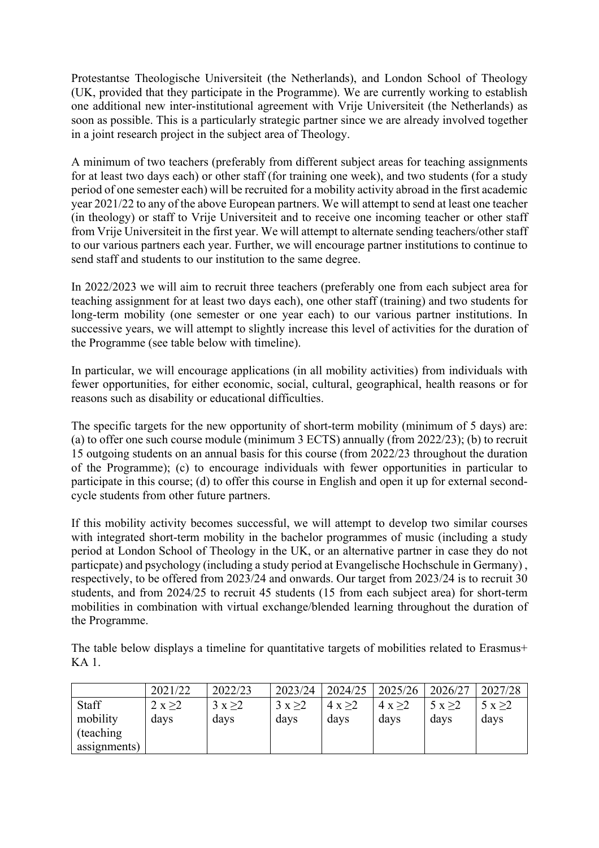Protestantse Theologische Universiteit (the Netherlands), and London School of Theology (UK, provided that they participate in the Programme). We are currently working to establish one additional new inter-institutional agreement with Vrije Universiteit (the Netherlands) as soon as possible. This is a particularly strategic partner since we are already involved together in a joint research project in the subject area of Theology.

A minimum of two teachers (preferably from different subject areas for teaching assignments for at least two days each) or other staff (for training one week), and two students (for a study period of one semester each) will be recruited for a mobility activity abroad in the first academic year 2021/22 to any of the above European partners. We will attempt to send at least one teacher (in theology) or staff to Vrije Universiteit and to receive one incoming teacher or other staff from Vrije Universiteit in the first year. We will attempt to alternate sending teachers/other staff to our various partners each year. Further, we will encourage partner institutions to continue to send staff and students to our institution to the same degree.

In 2022/2023 we will aim to recruit three teachers (preferably one from each subject area for teaching assignment for at least two days each), one other staff (training) and two students for long-term mobility (one semester or one year each) to our various partner institutions. In successive years, we will attempt to slightly increase this level of activities for the duration of the Programme (see table below with timeline).

In particular, we will encourage applications (in all mobility activities) from individuals with fewer opportunities, for either economic, social, cultural, geographical, health reasons or for reasons such as disability or educational difficulties.

The specific targets for the new opportunity of short-term mobility (minimum of 5 days) are: (a) to offer one such course module (minimum 3 ECTS) annually (from 2022/23); (b) to recruit 15 outgoing students on an annual basis for this course (from 2022/23 throughout the duration of the Programme); (c) to encourage individuals with fewer opportunities in particular to participate in this course; (d) to offer this course in English and open it up for external secondcycle students from other future partners.

If this mobility activity becomes successful, we will attempt to develop two similar courses with integrated short-term mobility in the bachelor programmes of music (including a study period at London School of Theology in the UK, or an alternative partner in case they do not particpate) and psychology (including a study period at Evangelische Hochschule in Germany) , respectively, to be offered from 2023/24 and onwards. Our target from 2023/24 is to recruit 30 students, and from 2024/25 to recruit 45 students (15 from each subject area) for short-term mobilities in combination with virtual exchange/blended learning throughout the duration of the Programme.

The table below displays a timeline for quantitative targets of mobilities related to Erasmus+ KA 1.

|              | 2021/22 | 2022/23 | 2023/24 | 2024/25 | 2025/26 | 2026/27 | 2027/28 |
|--------------|---------|---------|---------|---------|---------|---------|---------|
| Staff        | 2 x > 2 | 3x > 2  | 3x > 2  | 4 x > 2 | 4 x > 2 | 5 x > 2 | 5 x > 2 |
| mobility     | days    | days    | days    | days    | days    | days    | days    |
| (teaching)   |         |         |         |         |         |         |         |
| assignments) |         |         |         |         |         |         |         |